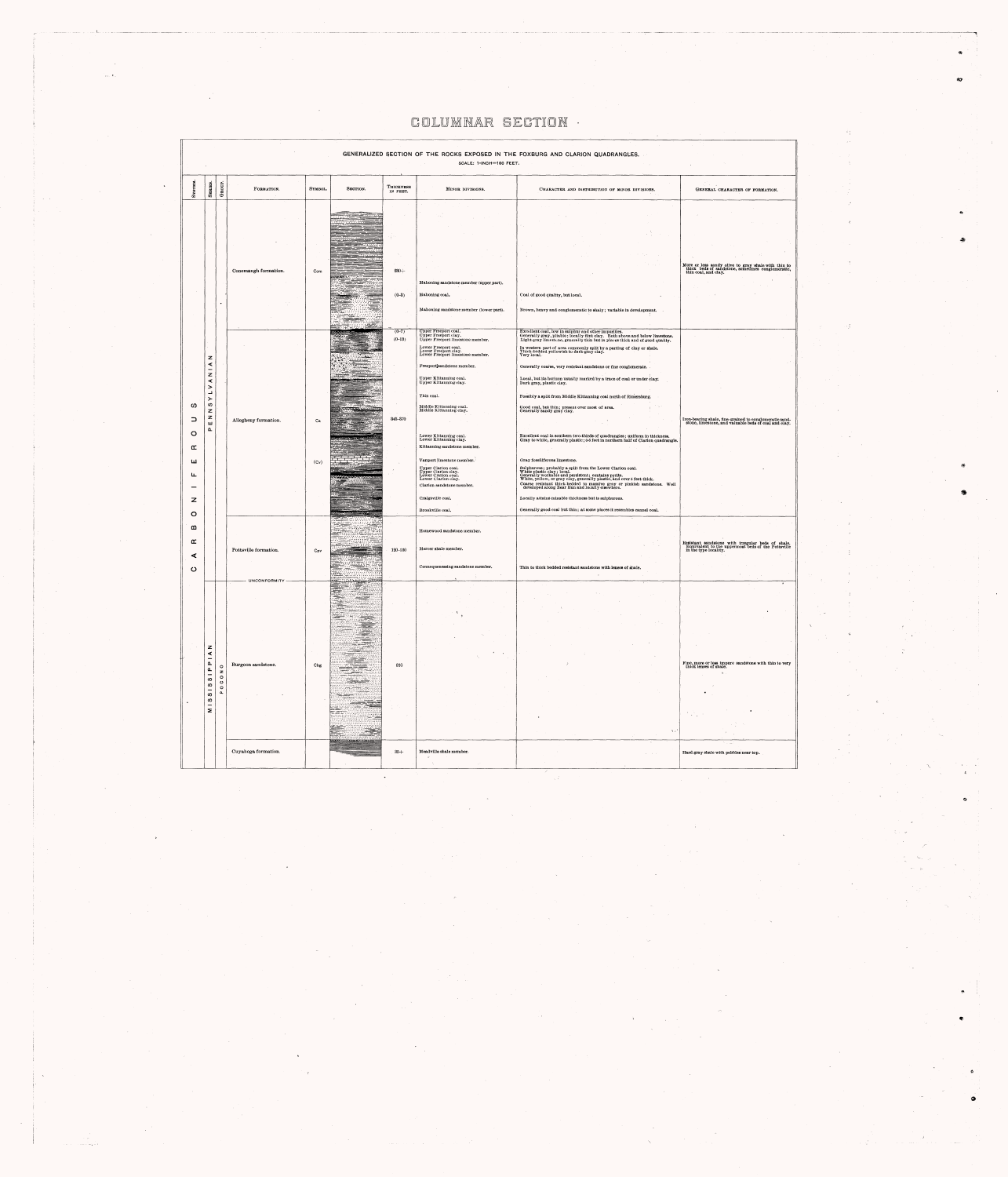## COLUMNAR SECTION ·

| GENERALIZED SECTION OF THE ROCKS EXPOSED IN THE FOXBURG AND CLARION QUADRANGLES.<br>SCALE: 1-INCH=100 FEET. |                                     |        |                       |         |          |                       |                                                                                  |                                                                                                                                                                                                                             |                                                                                                                               |
|-------------------------------------------------------------------------------------------------------------|-------------------------------------|--------|-----------------------|---------|----------|-----------------------|----------------------------------------------------------------------------------|-----------------------------------------------------------------------------------------------------------------------------------------------------------------------------------------------------------------------------|-------------------------------------------------------------------------------------------------------------------------------|
|                                                                                                             |                                     |        |                       |         |          |                       |                                                                                  |                                                                                                                                                                                                                             |                                                                                                                               |
| Syst                                                                                                        | SERIES.                             | Свост. | FORMATION.            | SYMBOL. | SECTION. | THICKNESS<br>IN FEET. | MINOR DIVISIONS.                                                                 | CHARACTER AND DISTRIBUTION OF MINOR DIVISIONS.                                                                                                                                                                              | GENERAL CHARACTER OF FORMATION.                                                                                               |
|                                                                                                             |                                     |        |                       |         |          |                       |                                                                                  |                                                                                                                                                                                                                             |                                                                                                                               |
|                                                                                                             |                                     |        |                       |         |          |                       |                                                                                  |                                                                                                                                                                                                                             |                                                                                                                               |
|                                                                                                             |                                     |        |                       |         |          |                       |                                                                                  |                                                                                                                                                                                                                             |                                                                                                                               |
|                                                                                                             |                                     |        |                       |         |          |                       |                                                                                  |                                                                                                                                                                                                                             |                                                                                                                               |
|                                                                                                             |                                     |        | Conemaugh formation.  | Ccm     |          | $230 -$               |                                                                                  |                                                                                                                                                                                                                             | More or less sandy olive to gray shale with thin to thick beds of sandstone, sometimes conglomeratic, thin coal, and clay.    |
|                                                                                                             |                                     |        |                       |         |          |                       | Mahoning sandstone member (upper part).                                          |                                                                                                                                                                                                                             |                                                                                                                               |
|                                                                                                             |                                     |        |                       |         |          | $(0-3)$               | Mahoning coal.                                                                   | Coal of good quality, but local.                                                                                                                                                                                            |                                                                                                                               |
|                                                                                                             |                                     |        |                       |         |          |                       | Mahoning sandstone member (lower part).                                          | Brown, heavy and conglomeratic to shaly; variable in development.                                                                                                                                                           |                                                                                                                               |
|                                                                                                             |                                     |        |                       |         |          | $(0 - 7)$             | Upper Freeport coal.                                                             | Excellent coal, low in sulphur and other impurities.                                                                                                                                                                        |                                                                                                                               |
|                                                                                                             |                                     |        |                       |         |          | $(0-13)$              | Upper Freeport clay.<br>Upper Freeport limestone member.                         | Generally gray, pliable; locally flint clay. Both above and below limestone.<br>Light-gray limestone, generally thin but in places thick and of good quality.                                                               |                                                                                                                               |
|                                                                                                             | z                                   |        |                       |         |          |                       | Lower Freeport coal.<br>Lower Freeport clay.<br>Lower Freeport limestone member. | In western part of area commonly split by a parting of clay or shale.<br>Thick-bedded yellowish to dark-gray clay.<br>Very local.                                                                                           |                                                                                                                               |
|                                                                                                             | $\prec$<br>$\overline{\phantom{a}}$ |        |                       |         |          |                       | Freeportisandstone member.                                                       | Generally coarse, very resistant sandstone or fine conglomerate.                                                                                                                                                            |                                                                                                                               |
|                                                                                                             | z<br>$\triangleleft$<br>$\geq$      |        |                       |         |          |                       | Upper Kittanning coal.<br>Upper Kittanning clay.                                 | Local, but its horizon usually marked by a trace of coal or under clay.<br>Dark gray, plastic clay.                                                                                                                         |                                                                                                                               |
|                                                                                                             | د<br>≻                              |        |                       |         |          |                       | Thin coal.                                                                       | Possibly a split from Middle Kittanning coal north of Rimersburg                                                                                                                                                            |                                                                                                                               |
| ഗ                                                                                                           | ဖာ<br>z                             |        |                       |         |          |                       | Middle Kittanning coal.<br>Middle Kittanning clay.                               | Good coal, but thin; present over most of area.<br>Generally sandy gray clay.                                                                                                                                               |                                                                                                                               |
| ⊃                                                                                                           | z<br>ш<br>Δ.                        |        | Allegheny formation.  | Ca      |          | 345-370               |                                                                                  |                                                                                                                                                                                                                             | Iron-bearing shale, fine-grained to conglomeratic sand-<br>stone, limestone, and valuable beds of coal and clay.              |
| $\circ$                                                                                                     |                                     |        |                       |         |          |                       | Lower Kittanning coal.<br>Lower Kittanning clay.<br>Kittanning sandstone member. | Excellent coal in southern two-thirds of quadrangies; uniform in thickness.<br>Gray to white, generally plastic; 0-6 feet in northern half of Clarion quadrangle.                                                           |                                                                                                                               |
| Œ                                                                                                           |                                     |        |                       |         |          |                       | Vanport limestone member.                                                        | Gray fossiliferous limestone.                                                                                                                                                                                               |                                                                                                                               |
| ш<br>ட                                                                                                      |                                     |        |                       | (Cv)    |          |                       | Upper Clarion coal.<br>Upper Clarion clay.<br>Lower Clarion coal.                | Sulphurous ; probably a split from the Lower Clarion coal.<br>White plastic clay ; local.<br>Generally workable and persistent ; contains pyrite.<br>White, yellow, or gray clay, generally plastic, and over 5 feet thick. |                                                                                                                               |
|                                                                                                             |                                     |        |                       |         |          |                       | Lower Clarion clay.<br>Clarion sandstone member.                                 | Coarse resistant thick-bedded to massive gray or pinkish sandstone. Well developed along Bear Run and locally elsewhere.                                                                                                    |                                                                                                                               |
| z                                                                                                           |                                     |        |                       |         |          |                       | Craigsville coal.                                                                | Locally attains minable thickness but is sulphurous.                                                                                                                                                                        |                                                                                                                               |
| $\circ$                                                                                                     |                                     |        |                       |         |          |                       | Brookville coal.                                                                 | Generally good coal but thin; at some places it resembles cannel coal.                                                                                                                                                      |                                                                                                                               |
| മ                                                                                                           |                                     |        |                       |         |          |                       | Homewood sandstone member.                                                       |                                                                                                                                                                                                                             |                                                                                                                               |
| Œ                                                                                                           |                                     |        |                       |         |          |                       |                                                                                  |                                                                                                                                                                                                                             | Resistant sandstone with irregular beds of shale.<br>Equivalent to the uppermost beds of the Pottsville in the type locality. |
| ⋖                                                                                                           |                                     |        | Pottsville formation. | Cpv     |          | 120-130               | Mercer shale member.                                                             |                                                                                                                                                                                                                             |                                                                                                                               |
| $\circ$                                                                                                     |                                     |        |                       |         |          |                       | Connoquenessing sandstone member.                                                | Thin to thick bedded resistant sandstone with lenses of shale.                                                                                                                                                              |                                                                                                                               |
|                                                                                                             |                                     |        | <b>UNCONFORMITY</b>   |         |          |                       |                                                                                  |                                                                                                                                                                                                                             |                                                                                                                               |
|                                                                                                             |                                     |        |                       |         |          |                       |                                                                                  |                                                                                                                                                                                                                             |                                                                                                                               |



 $\langle \rangle$  $\sqrt{2}$